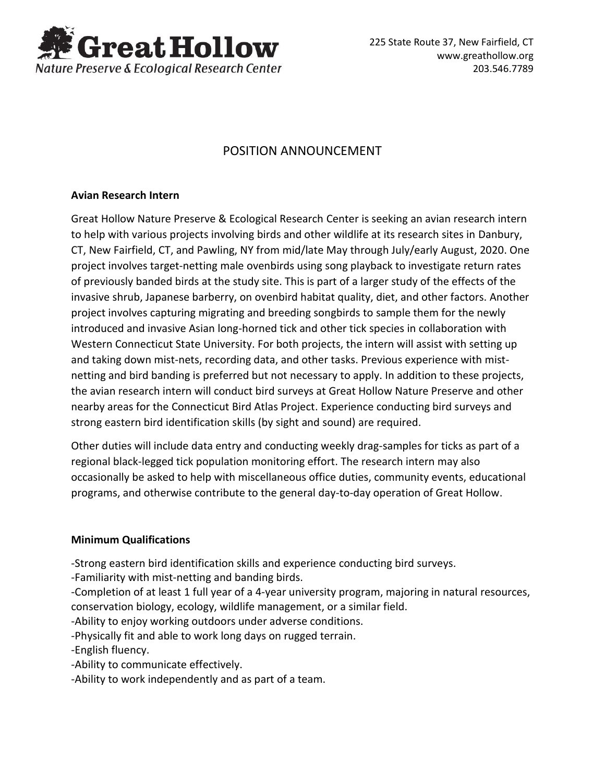

 225 State Route 37, New Fairfield, CT www.greathollow.org 203.546.7789

## POSITION ANNOUNCEMENT

## **Avian Research Intern**

Great Hollow Nature Preserve & Ecological Research Center is seeking an avian research intern to help with various projects involving birds and other wildlife at its research sites in Danbury, CT, New Fairfield, CT, and Pawling, NY from mid/late May through July/early August, 2020. One project involves target-netting male ovenbirds using song playback to investigate return rates of previously banded birds at the study site. This is part of a larger study of the effects of the invasive shrub, Japanese barberry, on ovenbird habitat quality, diet, and other factors. Another project involves capturing migrating and breeding songbirds to sample them for the newly introduced and invasive Asian long-horned tick and other tick species in collaboration with Western Connecticut State University. For both projects, the intern will assist with setting up and taking down mist-nets, recording data, and other tasks. Previous experience with mistnetting and bird banding is preferred but not necessary to apply. In addition to these projects, the avian research intern will conduct bird surveys at Great Hollow Nature Preserve and other nearby areas for the Connecticut Bird Atlas Project. Experience conducting bird surveys and strong eastern bird identification skills (by sight and sound) are required.

Other duties will include data entry and conducting weekly drag-samples for ticks as part of a regional black-legged tick population monitoring effort. The research intern may also occasionally be asked to help with miscellaneous office duties, community events, educational programs, and otherwise contribute to the general day-to-day operation of Great Hollow.

## **Minimum Qualifications**

-Strong eastern bird identification skills and experience conducting bird surveys.

-Familiarity with mist-netting and banding birds.

-Completion of at least 1 full year of a 4-year university program, majoring in natural resources, conservation biology, ecology, wildlife management, or a similar field.

-Ability to enjoy working outdoors under adverse conditions.

-Physically fit and able to work long days on rugged terrain.

-English fluency.

-Ability to communicate effectively.

-Ability to work independently and as part of a team.